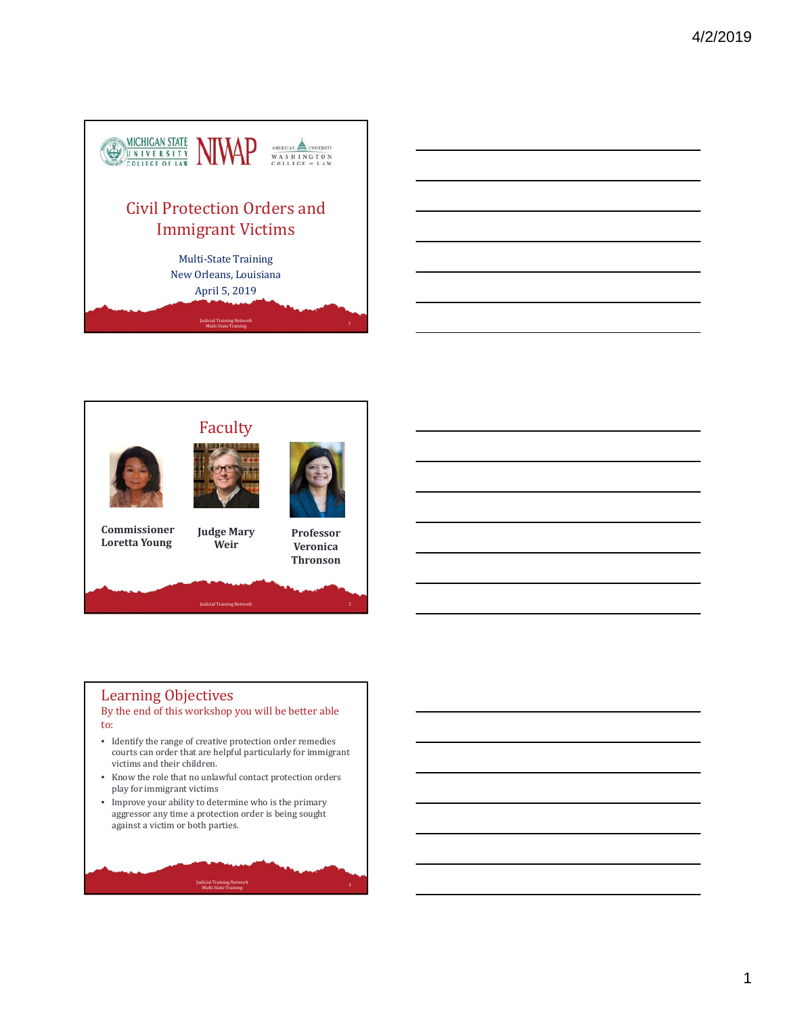









**Commissioner Loretta Young**

**Judge Mary Weir**

**Professor Veronica Thronson**

# Learning Objectives

#### By the end of this workshop you will be better able to:

- Identify the range of creative protection order remedies courts can order that are helpful particularly for immigrant victims and their children.
- Know the role that no unlawful contact protection orders play for immigrant victims
- Improve your ability to determine who is the primary aggressor any time a protection order is being sought against a victim or both parties.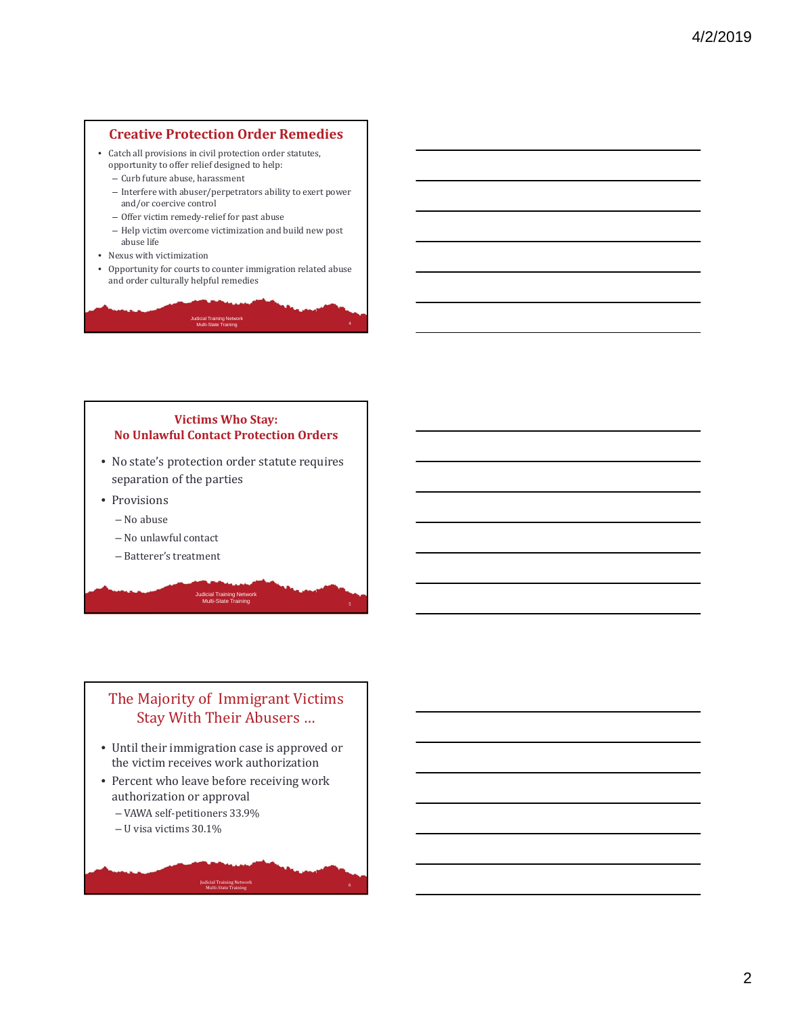#### **Creative Protection Order Remedies**

- Catch all provisions in civil protection order statutes, opportunity to offer relief designed to help:
	- Curb future abuse, harassment
	- Interfere with abuser/perpetrators ability to exert power and/or coercive control
	- Offer victim remedy-relief for past abuse
	- Help victim overcome victimization and build new post abuse life
- Nexus with victimization
- Opportunity for courts to counter immigration related abuse and order culturally helpful remedies

<sup>4</sup> Judicial Training Network Multi-State Training

## **Victims Who Stay: No Unlawful Contact Protection Orders**

- No state's protection order statute requires separation of the parties
- Provisions
	- No abuse
	- No unlawful contact
	- Batterer's treatment

# The Majority of Immigrant Victims Stay With Their Abusers ...

Judicial Training Network Multi-State Training

- Until their immigration case is approved or the victim receives work authorization
- Percent who leave before receiving work authorization or approval

- VAWA self‐petitioners 33.9%
- $-$  U visa victims  $30.1%$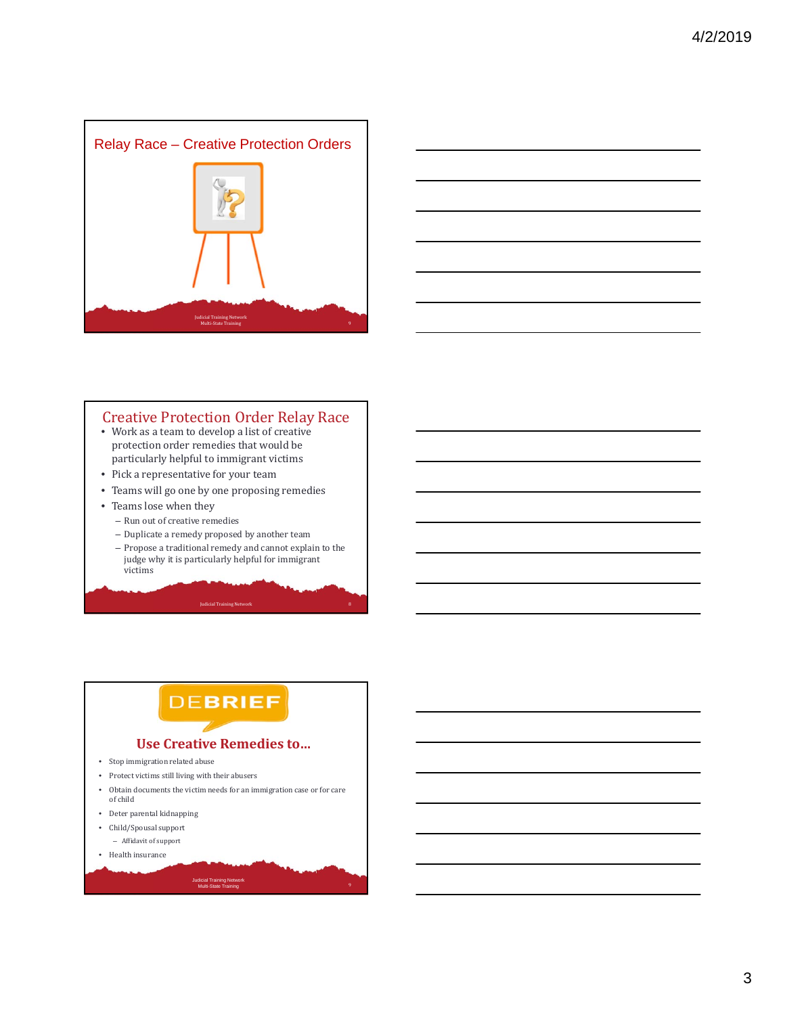



### **Creative Protection Order Relay Race**

- Work as a team to develop a list of creative protection order remedies that would be particularly helpful to immigrant victims
- Pick a representative for your team
- Teams will go one by one proposing remedies
- Teams lose when they
	- Run out of creative remedies
	- Duplicate a remedy proposed by another team
	- Propose a traditional remedy and cannot explain to the judge why it is particularly helpful for immigrant victims

# **DEBRIEF**

#### **Use Creative Remedies to…**

- Stop immigration related abuse
- $\bullet$  Protect victims still living with their abusers
- Obtain documents the victim needs for an immigration case or for care of child

- Deter parental kidnapping
- Child/Spousal support  $-$  Affidavit of support
- $\bullet$  Health insurance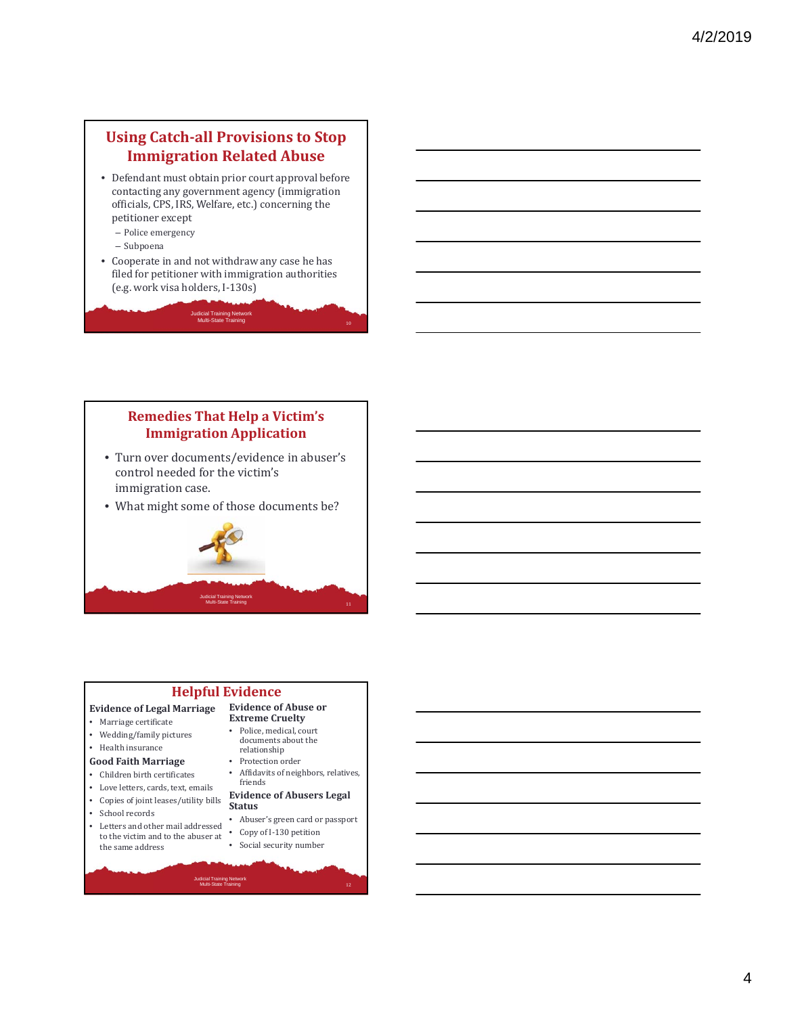# **Using Catch‐all Provisions to Stop Immigration Related Abuse**

- Defendant must obtain prior court approval before contacting any government agency (immigration officials, CPS, IRS, Welfare, etc.) concerning the petitioner except
	- Police emergency
	- Subpoena
- Cooperate in and not withdraw any case he has filed for petitioner with immigration authorities (e.g. work visa holders, I‐130s)

Judicial Training Network Multi-State Training

## **Remedies That Help a Victim's Immigration Application**

- Turn over documents/evidence in abuser's control needed for the victim's immigration case.
- What might some of those documents be?



# **Helpful Evidence**

Judicial Training Network Multi-State Training

#### **Evidence of Legal Marriage**

- Marriage certificate
- Wedding/family pictures
- $\bullet$  Health insurance

#### **Good Faith Marriage**

- Children birth certificates
- Love letters, cards, text, emails
- Copies of joint leases/utility bills
- School records
- Letters and other mail addressed to the victim and to the abuser at  $\,$ the same address

#### **Evidence of Abuse or Extreme Cruelty**

- Police, medical, court documents about the relationship
- Protection order
- Affidavits of neighbors, relatives, friends

#### **Evidence of Abusers Legal Status**

- Abuser's green card or passport
- Copy of I-130 petition
- Social security number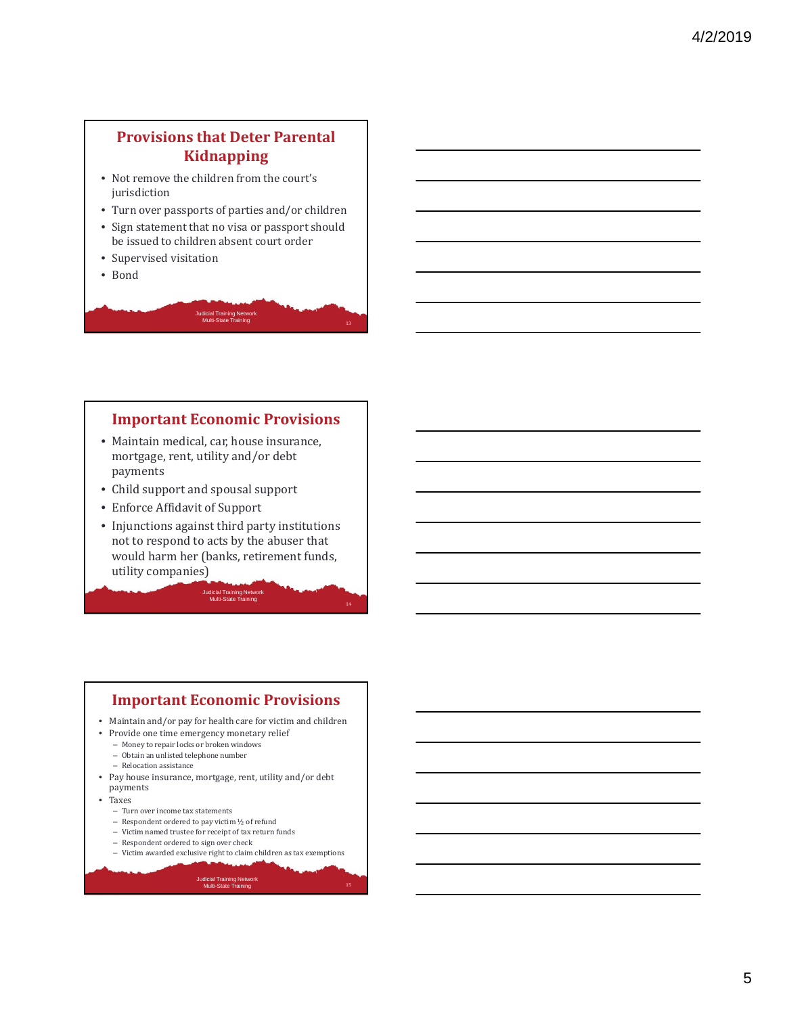# **Provisions that Deter Parental Kidnapping**

- Not remove the children from the court's iurisdiction
- Turn over passports of parties and/or children
- Sign statement that no visa or passport should be issued to children absent court order
- Supervised visitation
- Bond



### **Important Economic Provisions**

- Maintain medical, car, house insurance, mortgage, rent, utility and/or debt payments
- Child support and spousal support
- Enforce Affidavit of Support
- Injunctions against third party institutions not to respond to acts by the abuser that would harm her (banks, retirement funds, utility companies)

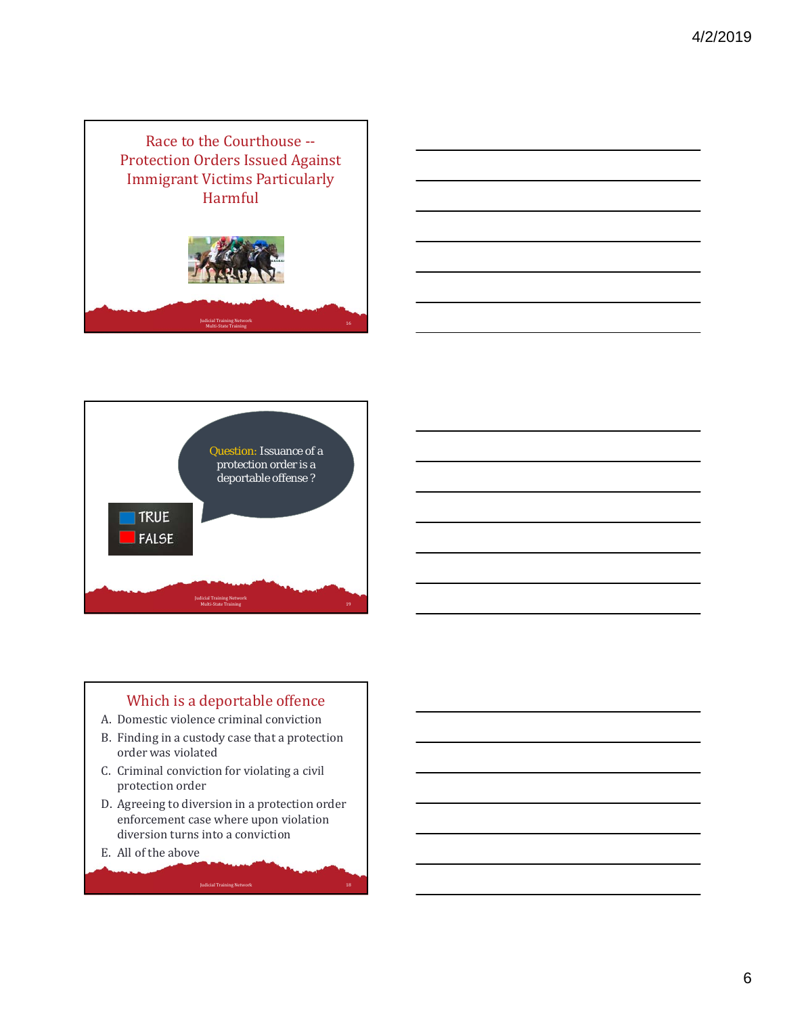





# Which is a deportable offence

- A. Domestic violence criminal conviction
- B. Finding in a custody case that a protection order was violated
- C. Criminal conviction for violating a civil protection order
- D. Agreeing to diversion in a protection order enforcement case where upon violation diversion turns into a conviction

Judicial Training Network 18

E. All of the above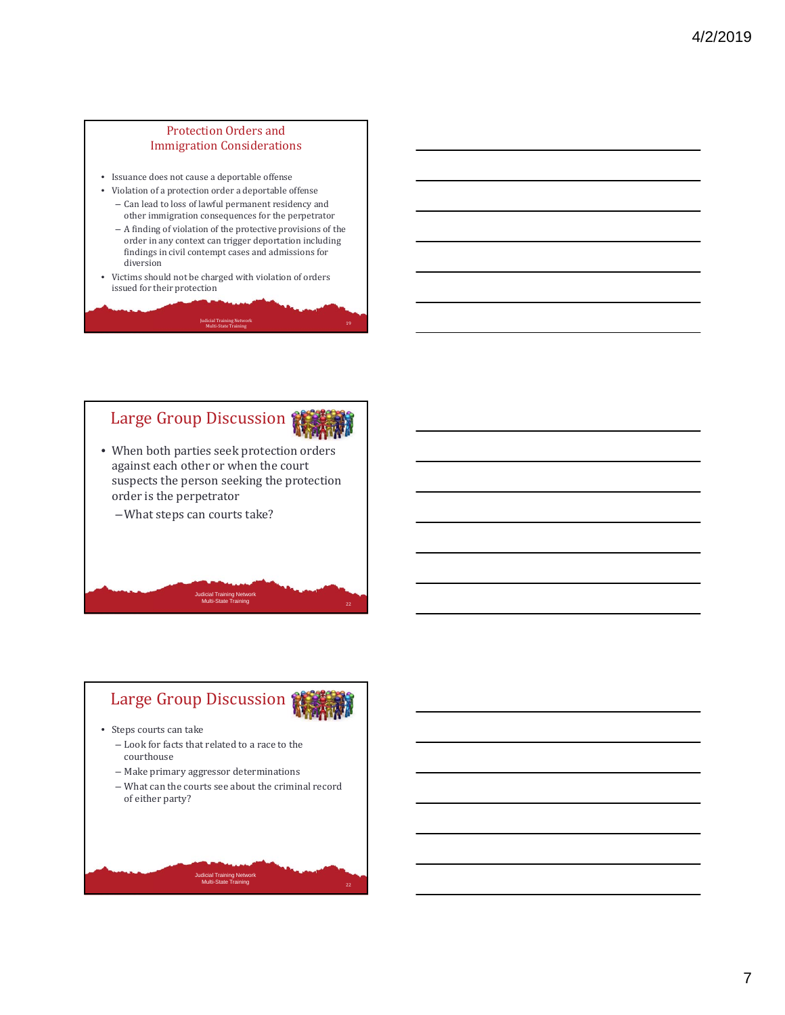#### Protection Orders and **Immigration Considerations**

- Issuance does not cause a deportable offense
- $\bullet~$ Violation of a protection order a deportable offense - Can lead to loss of lawful permanent residency and other immigration consequences for the perpetrator
	- A finding of violation of the protective provisions of the order in any context can trigger deportation including findings in civil contempt cases and admissions for  $\,$ diversion
- Victims should not be charged with violation of orders issued for their protection

#### Judicial Training Network المستنسين و19 سينتشر المستنسين والمستنسين والمستنسين والمستنسين والمستنسين والمستنسين والمستنسين والمستنسين وال<br>المستنسين والمستنسين والمستنسين والمستنسين والمستنسين والمستنسين والمستنسين والمستنسين والمستنسين والمستنسين

# Large Group Discussion

- When both parties seek protection orders against each other or when the court suspects the person seeking the protection order is the perpetrator
	- What steps can courts take?



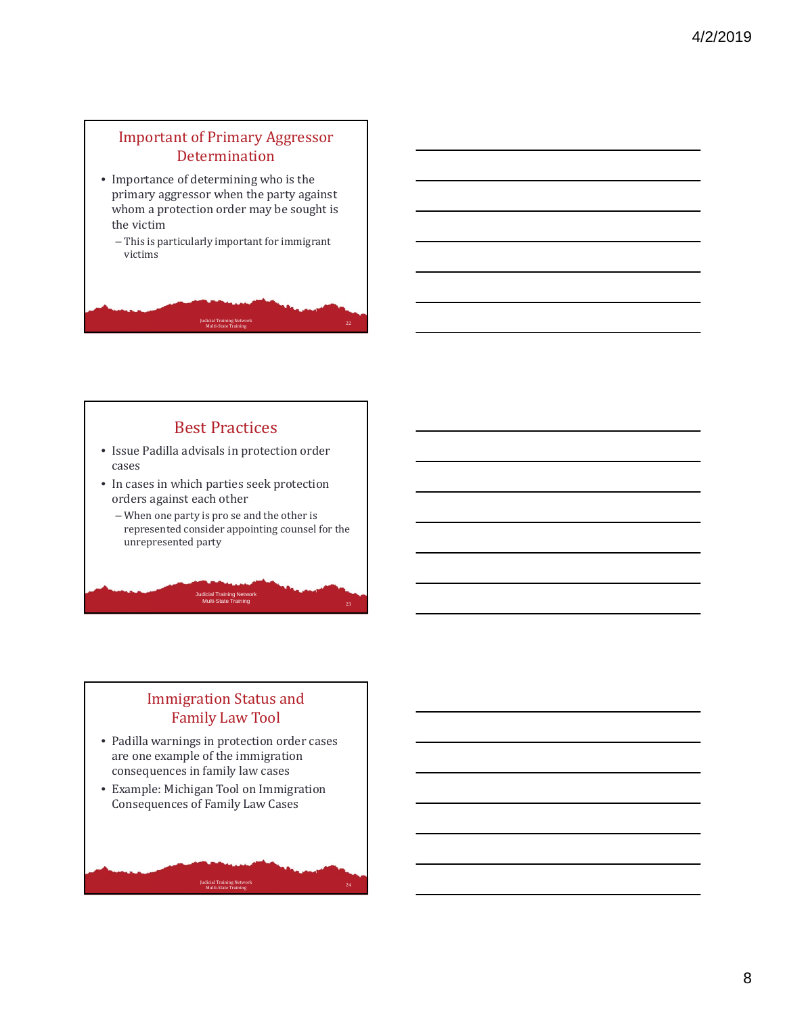# Important of Primary Aggressor Determination

- Importance of determining who is the primary aggressor when the party against whom a protection order may be sought is the victim
	- $-$  This is particularly important for immigrant victims

# Judicial Training Network Multi‐State Training <sup>22</sup>

# **Best Practices**

- Issue Padilla advisals in protection order cases
- In cases in which parties seek protection orders against each other
	- $-$  When one party is pro se and the other is represented consider appointing counsel for the unrepresented party

Judicial Training Network Multi-State Training

# **Immigration Status and** Family Law Tool

- Padilla warnings in protection order cases are one example of the immigration consequences in family law cases
- Example: Michigan Tool on Immigration Consequences of Family Law Cases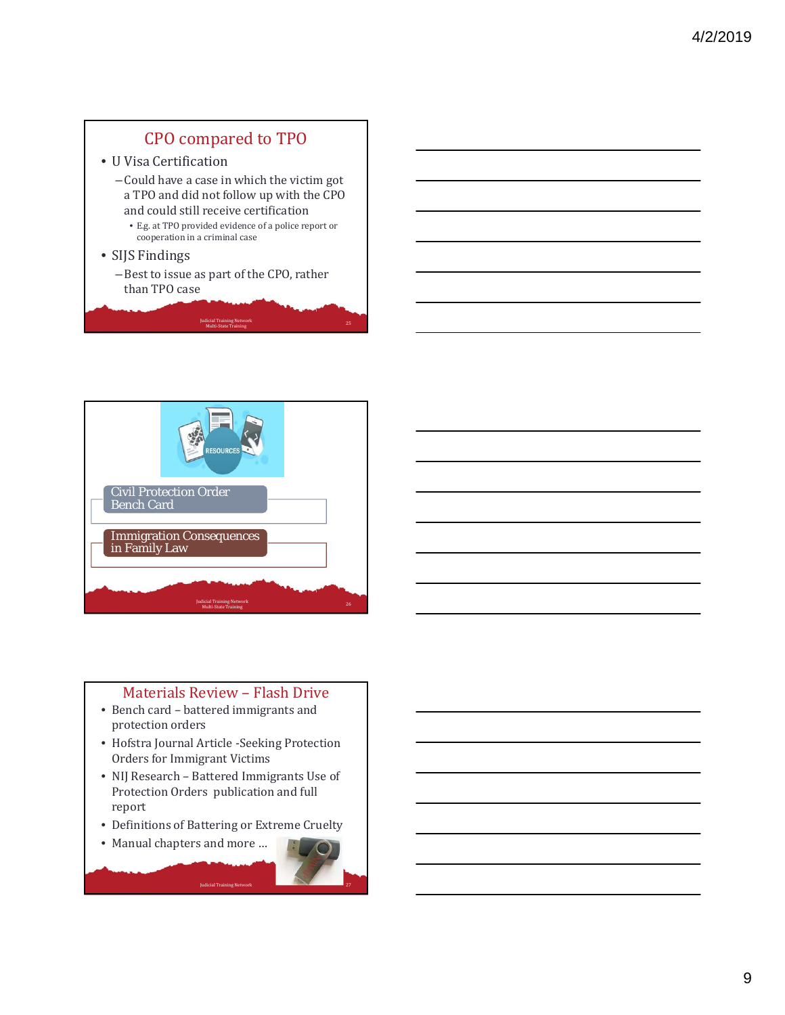# CPO compared to TPO

- U Visa Certification
	- Could have a case in which the victim got a TPO and did not follow up with the CPO and could still receive certification
		- $\bullet\,$  E.g. at TPO provided evidence of a police report or cooperation in a criminal case
- SIJS Findings
	- Best to issue as part of the CPO, rather than TPO case

Judicial Training Network Multi‐State Training <sup>25</sup>



### Materials Review - Flash Drive

- Bench card battered immigrants and protection orders
- Hofstra Journal Article -Seeking Protection Orders for Immigrant Victims
- NIJ Research Battered Immigrants Use of Protection Orders publication and full report
- Definitions of Battering or Extreme Cruelty
- Manual chapters and more ...